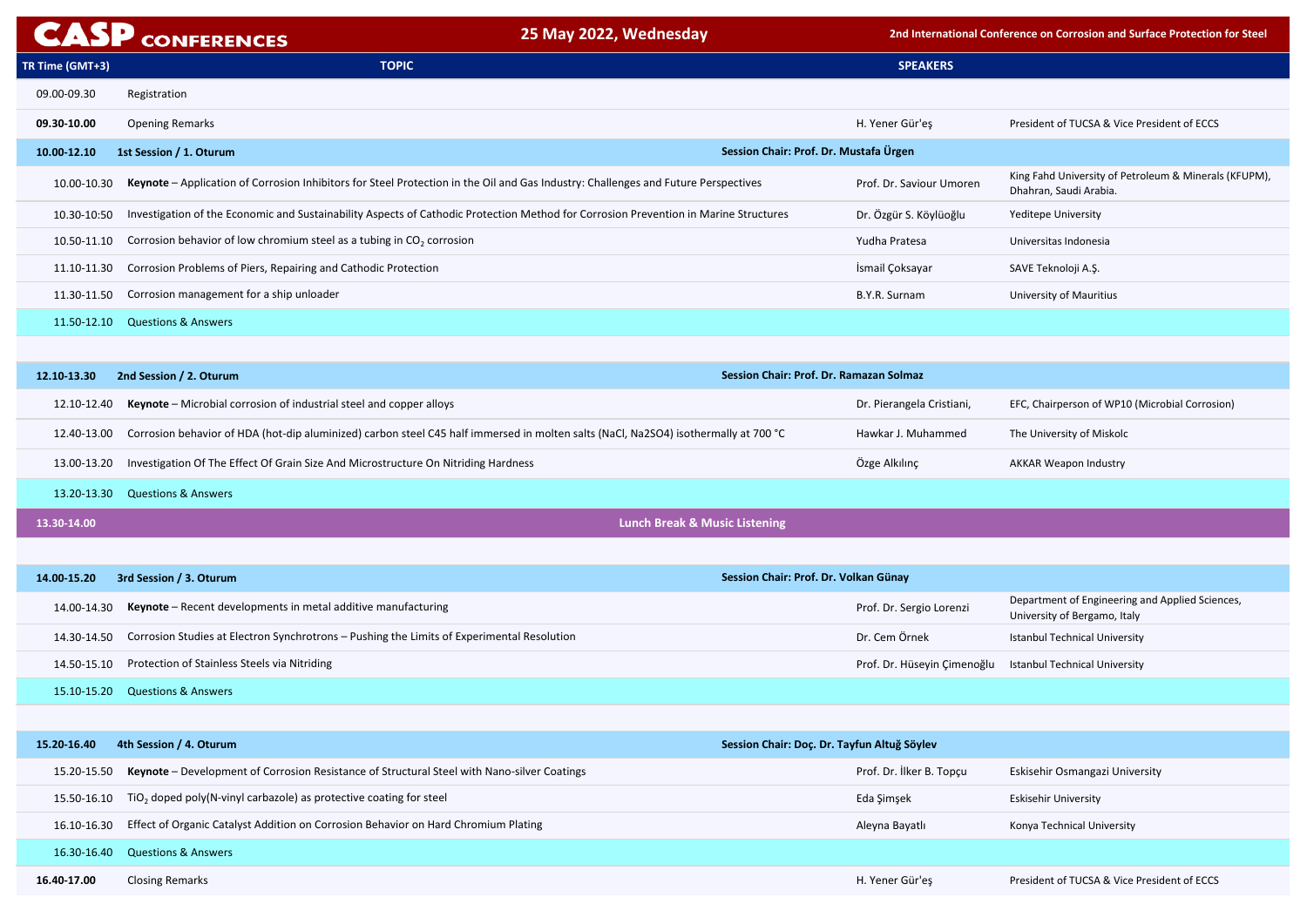King Fahd University of Petroleum & Minerals (KFUPM), Dhahran, Saudi Arabia.

**EFC, Chairperson of WP10 (Microbial Corrosion)** 

Department of Engineering and Applied Sciences, University of Bergamo, Italy

Istanbul Technical University

lu Istanbul Technical University

Eskisehir Osmangazi University

Konya Technical University

President of TUCSA & Vice President of ECCS

|                 | <b>CASP CONFERENCES</b>                                                                                                              | 25 May 2022, Wednesday                         |                             | 2nd International Conference on Corrosion and       |
|-----------------|--------------------------------------------------------------------------------------------------------------------------------------|------------------------------------------------|-----------------------------|-----------------------------------------------------|
| TR Time (GMT+3) | <b>TOPIC</b>                                                                                                                         |                                                | <b>SPEAKERS</b>             |                                                     |
| 09.00-09.30     | Registration                                                                                                                         |                                                |                             |                                                     |
| 09.30-10.00     | <b>Opening Remarks</b>                                                                                                               |                                                | H. Yener Gür'eş             | President of TUCSA & Vi                             |
| 10.00-12.10     | 1st Session / 1. Oturum                                                                                                              | Session Chair: Prof. Dr. Mustafa Ürgen         |                             |                                                     |
| 10.00-10.30     | Keynote - Application of Corrosion Inhibitors for Steel Protection in the Oil and Gas Industry: Challenges and Future Perspectives   |                                                | Prof. Dr. Saviour Umoren    | King Fahd University of F<br>Dhahran, Saudi Arabia. |
| 10.30-10:50     | Investigation of the Economic and Sustainability Aspects of Cathodic Protection Method for Corrosion Prevention in Marine Structures |                                                | Dr. Özgür S. Köylüoğlu      | <b>Yeditepe University</b>                          |
| 10.50-11.10     | Corrosion behavior of low chromium steel as a tubing in $CO2$ corrosion                                                              |                                                | Yudha Pratesa               | Universitas Indonesia                               |
| 11.10-11.30     | Corrosion Problems of Piers, Repairing and Cathodic Protection                                                                       |                                                | İsmail Çoksayar             | SAVE Teknoloji A.Ş.                                 |
| 11.30-11.50     | Corrosion management for a ship unloader                                                                                             |                                                | B.Y.R. Surnam               | University of Mauritius                             |
| 11.50-12.10     | <b>Questions &amp; Answers</b>                                                                                                       |                                                |                             |                                                     |
|                 |                                                                                                                                      |                                                |                             |                                                     |
| 12.10-13.30     | 2nd Session / 2. Oturum                                                                                                              | <b>Session Chair: Prof. Dr. Ramazan Solmaz</b> |                             |                                                     |
| 12.10-12.40     | Keynote - Microbial corrosion of industrial steel and copper alloys                                                                  |                                                | Dr. Pierangela Cristiani,   | EFC, Chairperson of WP1                             |
| 12.40-13.00     | Corrosion behavior of HDA (hot-dip aluminized) carbon steel C45 half immersed in molten salts (NaCl, Na2SO4) isothermally at 700 °C  |                                                | Hawkar J. Muhammed          | The University of Miskol                            |
| 13.00-13.20     | Investigation Of The Effect Of Grain Size And Microstructure On Nitriding Hardness                                                   |                                                | Özge Alkılınç               | <b>AKKAR Weapon Industry</b>                        |
| 13.20-13.30     | <b>Questions &amp; Answers</b>                                                                                                       |                                                |                             |                                                     |
| 13.30-14.00     |                                                                                                                                      | <b>Lunch Break &amp; Music Listening</b>       |                             |                                                     |
|                 |                                                                                                                                      |                                                |                             |                                                     |
| 14.00-15.20     | 3rd Session / 3. Oturum                                                                                                              | Session Chair: Prof. Dr. Volkan Günay          |                             |                                                     |
| 14.00-14.30     | Keynote - Recent developments in metal additive manufacturing                                                                        |                                                | Prof. Dr. Sergio Lorenzi    | Department of Engineer<br>University of Bergamo, It |
| 14.30-14.50     | Corrosion Studies at Electron Synchrotrons - Pushing the Limits of Experimental Resolution                                           |                                                | Dr. Cem Örnek               | <b>Istanbul Technical Unive</b>                     |
| 14.50-15.10     | Protection of Stainless Steels via Nitriding                                                                                         |                                                | Prof. Dr. Hüseyin Çimenoğlu | <b>Istanbul Technical Unive</b>                     |
| 15.10-15.20     | <b>Questions &amp; Answers</b>                                                                                                       |                                                |                             |                                                     |
|                 |                                                                                                                                      |                                                |                             |                                                     |
| 15.20-16.40     | 4th Session / 4. Oturum                                                                                                              | Session Chair: Doç. Dr. Tayfun Altuğ Söylev    |                             |                                                     |
| 15.20-15.50     | Keynote - Development of Corrosion Resistance of Structural Steel with Nano-silver Coatings                                          |                                                | Prof. Dr. İlker B. Topçu    | Eskisehir Osmangazi Ur                              |
| 15.50-16.10     | $TiO2$ doped poly(N-vinyl carbazole) as protective coating for steel                                                                 |                                                | Eda Şimşek                  | <b>Eskisehir University</b>                         |
| 16.10-16.30     | Effect of Organic Catalyst Addition on Corrosion Behavior on Hard Chromium Plating                                                   |                                                | Aleyna Bayatlı              | Konya Technical Univers                             |
| 16.30-16.40     | <b>Questions &amp; Answers</b>                                                                                                       |                                                |                             |                                                     |
| 16.40-17.00     | <b>Closing Remarks</b>                                                                                                               |                                                | H. Yener Gür'eş             | President of TUCSA & Vi                             |

**25 Interance on Corrosion and Surface Protection for Steel** 

President of TUCSA & Vice President of ECCS